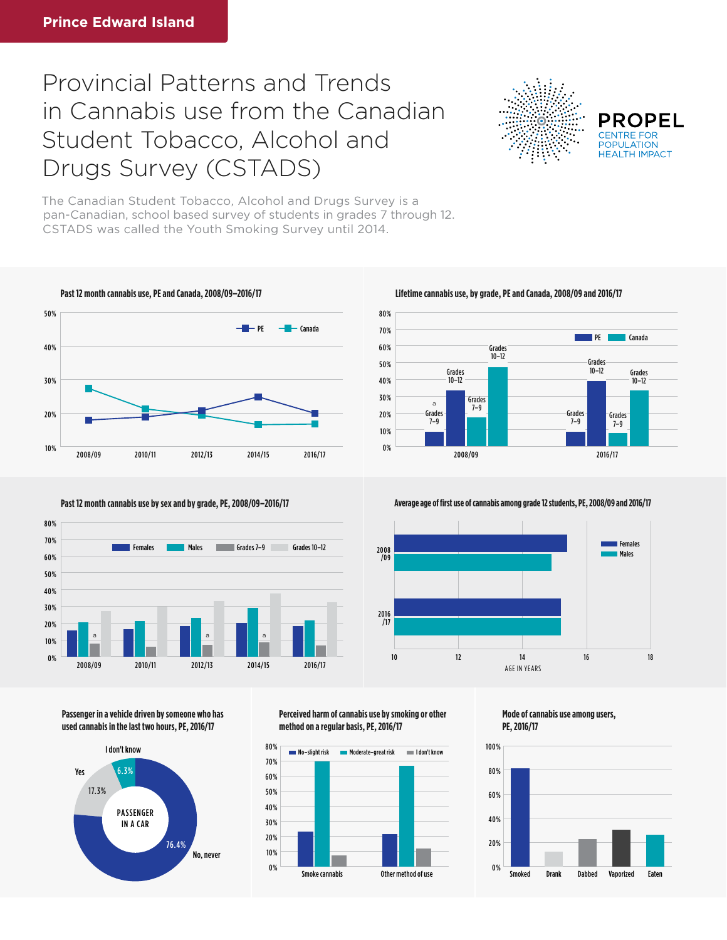## Provincial Patterns and Trends in Cannabis use from the Canadian Student Tobacco, Alcohol and Drugs Survey (CSTADS)



**PROPEL POPULATION HFAITH IMPACT** 

The Canadian Student Tobacco, Alcohol and Drugs Survey is a pan-Canadian, school based survey of students in grades 7 through 12. CSTADS was called the Youth Smoking Survey until 2014.







**Passenger in a vehicle driven by someone who has used cannabis in the last two hours, PE, 2016/17**



**Perceived harm of cannabis use by smoking or other method on a regular basis, PE, 2016/17**





**Past 12 month cannabis use by sex and by grade, PE, 2008/09–2016/17 Average age of first use of cannabis among grade 12 students, PE, 2008/09 and 2016/17** 



**Mode of cannabis use among users, PE, 2016/17**